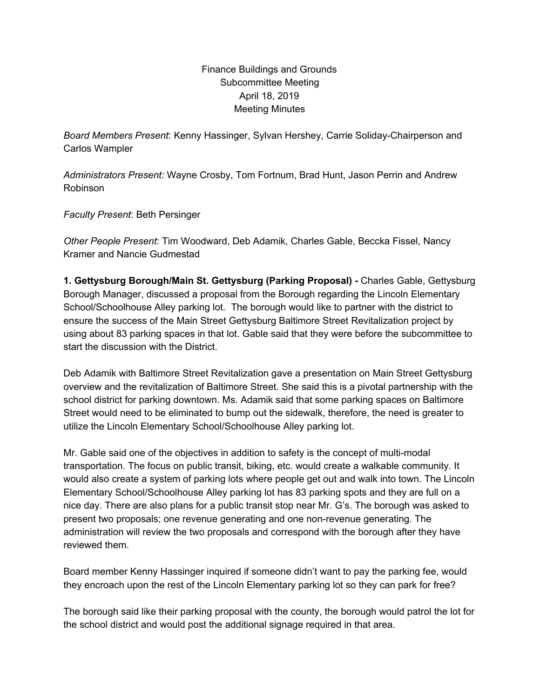Finance Buildings and Grounds Subcommittee Meeting April 18, 2019 Meeting Minutes

*Board Members Present*: Kenny Hassinger, Sylvan Hershey, Carrie Soliday-Chairperson and Carlos Wampler

*Administrators Present:* Wayne Crosby, Tom Fortnum, Brad Hunt, Jason Perrin and Andrew Robinson

*Faculty Present*: Beth Persinger

*Other People Present*: Tim Woodward, Deb Adamik, Charles Gable, Beccka Fissel, Nancy Kramer and Nancie Gudmestad

**1. Gettysburg Borough/Main St. Gettysburg (Parking Proposal) -** Charles Gable, Gettysburg Borough Manager, discussed a proposal from the Borough regarding the Lincoln Elementary School/Schoolhouse Alley parking lot. The borough would like to partner with the district to ensure the success of the Main Street Gettysburg Baltimore Street Revitalization project by using about 83 parking spaces in that lot. Gable said that they were before the subcommittee to start the discussion with the District.

Deb Adamik with Baltimore Street Revitalization gave a presentation on Main Street Gettysburg overview and the revitalization of Baltimore Street. She said this is a pivotal partnership with the school district for parking downtown. Ms. Adamik said that some parking spaces on Baltimore Street would need to be eliminated to bump out the sidewalk, therefore, the need is greater to utilize the Lincoln Elementary School/Schoolhouse Alley parking lot.

Mr. Gable said one of the objectives in addition to safety is the concept of multi-modal transportation. The focus on public transit, biking, etc. would create a walkable community. It would also create a system of parking lots where people get out and walk into town. The Lincoln Elementary School/Schoolhouse Alley parking lot has 83 parking spots and they are full on a nice day. There are also plans for a public transit stop near Mr. G's. The borough was asked to present two proposals; one revenue generating and one non-revenue generating. The administration will review the two proposals and correspond with the borough after they have reviewed them.

Board member Kenny Hassinger inquired if someone didn't want to pay the parking fee, would they encroach upon the rest of the Lincoln Elementary parking lot so they can park for free?

The borough said like their parking proposal with the county, the borough would patrol the lot for the school district and would post the additional signage required in that area.